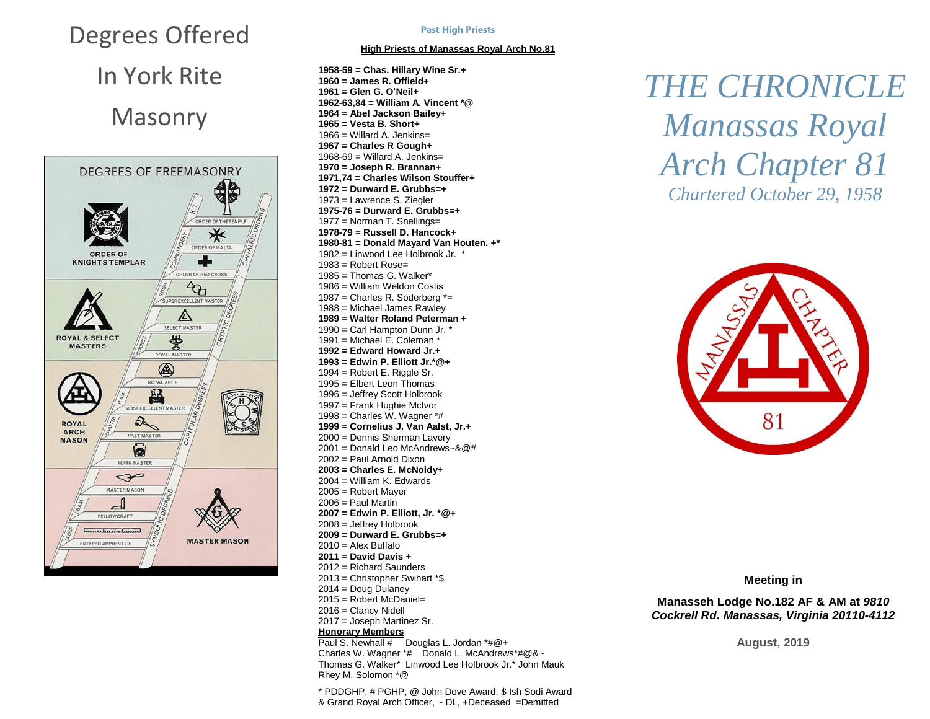# Degrees Offered

In York Rite Masonry



#### **Past High Priests**

### **High Priests of Manassas Royal Arch No.81**

**1958-59 = Chas. Hillary Wine Sr.+ = James R. Offield+ = Glen G. O'Neil+ 1962-63,84 = William A. Vincent \*@ = Abel Jackson Bailey+ = Vesta B. Short+** = Willard A. Jenkins= **= Charles R Gough+** 1968-69 = Willard A. Jenkins= **= Joseph R. Brannan+ 1971,74 = Charles Wilson Stouffer+ = Durward E. Grubbs=+** = Lawrence S. Ziegler **1975-76 = Durward E. Grubbs=+** = Norman T. Snellings= **1978-79 = Russell D. Hancock+ 1980-81 = Donald Mayard Van Houten. +\*** = Linwood Lee Holbrook Jr. \* = Robert Rose= = Thomas G. Walker\* = William Weldon Costis = Charles R. Soderberg \*= = Michael James Rawley **= Walter Roland Peterman +** = Carl Hampton Dunn Jr. \* 1991 = Michael E. Coleman  $*$  **= Edward Howard Jr.+ = Edwin P. Elliott Jr.\*@+** = Robert E. Riggle Sr. = Elbert Leon Thomas = Jeffrey Scott Holbrook = Frank Hughie McIvor 1998 = Charles W. Wagner  $*$ # **= Cornelius J. Van Aalst, Jr.+** = Dennis Sherman Lavery = Donald Leo McAndrews~&@# = Paul Arnold Dixon **= Charles E. McNoldy+** = William K. Edwards = Robert Mayer = Paul Martin **= Edwin P. Elliott, Jr. \***@**+** = Jeffrey Holbrook **= Durward E. Grubbs=+**  $2010 =$  Alex Buffalo **= David Davis +** = Richard Saunders = Christopher Swihart \*\$ = Doug Dulaney = Robert McDaniel= = Clancy Nidell = Joseph Martinez Sr. **Honorary Members** Paul S. Newhall # Douglas L. Jordan \*#@+ Charles W. Wagner \*# Donald L. McAndrews \*#@&~

Thomas G. Walker\* Linwood Lee Holbrook Jr.\* John Mauk Rhey M. Solomon \*@

\* PDDGHP, # PGHP, @ John Dove Award, \$ Ish Sodi Award & Grand Royal Arch Officer, ~ DL, +Deceased =Demitted

## *THE CHRONICLE Manassas Royal Arch Chapter 81 Chartered October 29, 1958*



**Meeting in**

**Manasseh Lodge No.182 AF & AM at** *9810 Cockrell Rd. Manassas, Virginia 20110-4112*

**August, 2019**